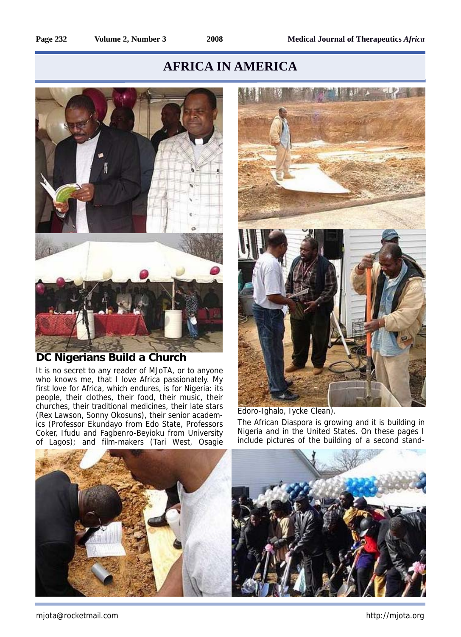## **AFRICA IN AMERICA**



## **DC Nigerians Build a Church**

It is no secret to any reader of MJoTA, or to anyone who knows me, that I love Africa passionately. My first love for Africa, which endures, is for Nigeria: its people, their clothes, their food, their music, their churches, their traditional medicines, their late stars (Rex Lawson, Sonny Okosuns), their senior academics (Professor Ekundayo from Edo State, Professors Coker, Ifudu and Fagbenro-Beyioku from University of Lagos); and film-makers (Tari West, Osagie



Edoro-Ighalo, Iycke Clean). The African Diaspora is growing and it is building in Nigeria and in the United States. On these pages I include pictures of the building of a second stand-